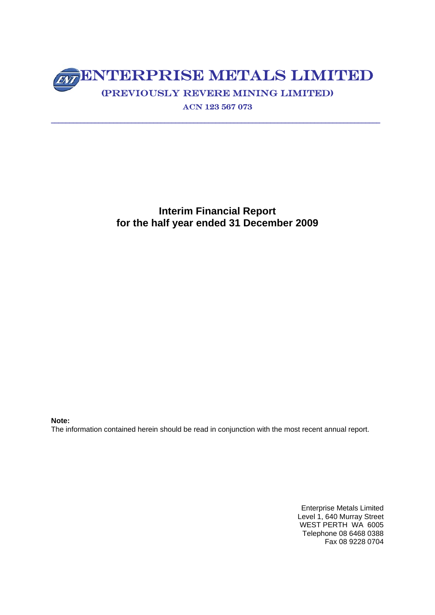# ENTERPRISE METALS LIMITED (Previously Revere Mining Limited)

ACN 123 567 073

\_\_\_\_\_\_\_\_\_\_\_\_\_\_\_\_\_\_\_\_\_\_\_\_\_\_\_\_\_\_\_\_\_\_\_\_\_\_\_\_\_\_\_\_\_\_\_\_\_\_\_\_\_\_\_\_\_\_\_\_\_\_\_\_\_\_\_\_\_\_\_\_\_\_\_\_\_\_\_\_\_\_\_\_\_\_\_\_\_\_

**Interim Financial Report for the half year ended 31 December 2009** 

**Note:** 

The information contained herein should be read in conjunction with the most recent annual report.

Enterprise Metals Limited Level 1, 640 Murray Street WEST PERTH WA 6005 Telephone 08 6468 0388 Fax 08 9228 0704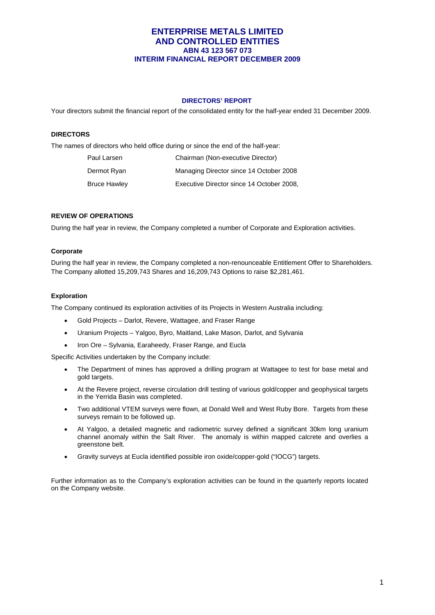## **DIRECTORS' REPORT**

Your directors submit the financial report of the consolidated entity for the half-year ended 31 December 2009.

#### **DIRECTORS**

The names of directors who held office during or since the end of the half-year:

| Paul Larsen  | Chairman (Non-executive Director)         |
|--------------|-------------------------------------------|
| Dermot Ryan  | Managing Director since 14 October 2008   |
| Bruce Hawley | Executive Director since 14 October 2008. |

#### **REVIEW OF OPERATIONS**

During the half year in review, the Company completed a number of Corporate and Exploration activities.

#### **Corporate**

During the half year in review, the Company completed a non-renounceable Entitlement Offer to Shareholders. The Company allotted 15,209,743 Shares and 16,209,743 Options to raise \$2,281,461.

#### **Exploration**

The Company continued its exploration activities of its Projects in Western Australia including:

- Gold Projects Darlot, Revere, Wattagee, and Fraser Range
- Uranium Projects Yalgoo, Byro, Maitland, Lake Mason, Darlot, and Sylvania
- Iron Ore Sylvania, Earaheedy, Fraser Range, and Eucla

Specific Activities undertaken by the Company include:

- The Department of mines has approved a drilling program at Wattagee to test for base metal and gold targets.
- At the Revere project, reverse circulation drill testing of various gold/copper and geophysical targets in the Yerrida Basin was completed.
- Two additional VTEM surveys were flown, at Donald Well and West Ruby Bore. Targets from these surveys remain to be followed up.
- At Yalgoo, a detailed magnetic and radiometric survey defined a significant 30km long uranium channel anomaly within the Salt River. The anomaly is within mapped calcrete and overlies a greenstone belt.
- Gravity surveys at Eucla identified possible iron oxide/copper-gold ("IOCG") targets.

Further information as to the Company's exploration activities can be found in the quarterly reports located on the Company website.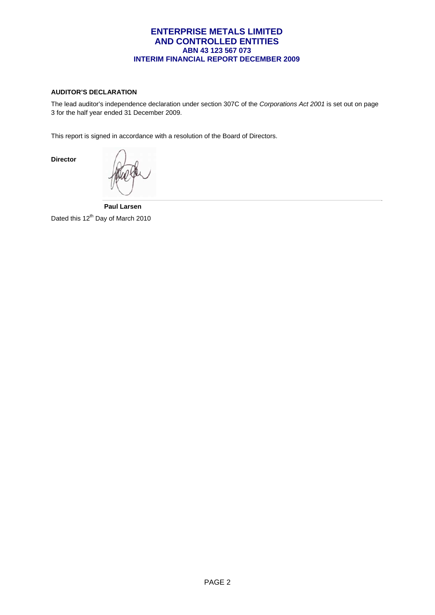## **AUDITOR'S DECLARATION**

**Director** 

The lead auditor's independence declaration under section 307C of the *Corporations Act 2001* is set out on page 3 for the half year ended 31 December 2009.

This report is signed in accordance with a resolution of the Board of Directors.

 **Paul Larsen**  Dated this 12<sup>th</sup> Day of March 2010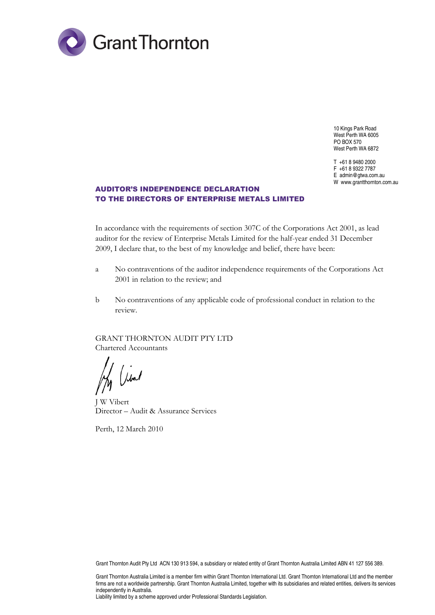

10 Kings Park Road West Perth WA 6005 PO BOX 570 West Perth WA 6872

T +61 8 9480 2000 F +61 8 9322 7787 E admin@gtwa.com.au W www.grantthornton.com.au

# AUDITOR'S INDEPENDENCE DECLARATION TO THE DIRECTORS OF ENTERPRISE METALS LIMITED

In accordance with the requirements of section 307C of the Corporations Act 2001, as lead auditor for the review of Enterprise Metals Limited for the half-year ended 31 December 2009, I declare that, to the best of my knowledge and belief, there have been:

- a No contraventions of the auditor independence requirements of the Corporations Act 2001 in relation to the review; and
- b No contraventions of any applicable code of professional conduct in relation to the review.

GRANT THORNTON AUDIT PTY LTD Chartered Accountants

My Vivat

J W Vibert Director – Audit & Assurance Services

Perth, 12 March 2010

Grant Thornton Audit Pty Ltd ACN 130 913 594, a subsidiary or related entity of Grant Thornton Australia Limited ABN 41 127 556 389.

Grant Thornton Australia Limited is a member firm within Grant Thornton International Ltd. Grant Thornton International Ltd and the member firms are not a worldwide partnership. Grant Thornton Australia Limited, together with its subsidiaries and related entities, delivers its services independently in Australia.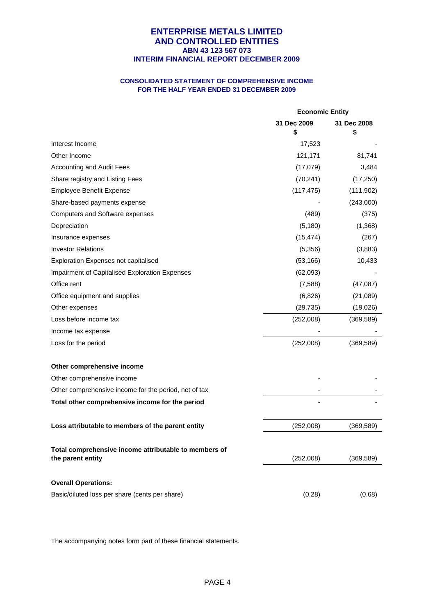## **CONSOLIDATED STATEMENT OF COMPREHENSIVE INCOME FOR THE HALF YEAR ENDED 31 DECEMBER 2009**

|                                                                            | <b>Economic Entity</b> |                   |
|----------------------------------------------------------------------------|------------------------|-------------------|
|                                                                            | 31 Dec 2009<br>\$      | 31 Dec 2008<br>\$ |
| Interest Income                                                            | 17,523                 |                   |
| Other Income                                                               | 121,171                | 81,741            |
| Accounting and Audit Fees                                                  | (17,079)               | 3,484             |
| Share registry and Listing Fees                                            | (70, 241)              | (17, 250)         |
| <b>Employee Benefit Expense</b>                                            | (117, 475)             | (111, 902)        |
| Share-based payments expense                                               |                        | (243,000)         |
| Computers and Software expenses                                            | (489)                  | (375)             |
| Depreciation                                                               | (5, 180)               | (1,368)           |
| Insurance expenses                                                         | (15, 474)              | (267)             |
| <b>Investor Relations</b>                                                  | (5,356)                | (3,883)           |
| <b>Exploration Expenses not capitalised</b>                                | (53, 166)              | 10,433            |
| Impairment of Capitalised Exploration Expenses                             | (62,093)               |                   |
| Office rent                                                                | (7,588)                | (47,087)          |
| Office equipment and supplies                                              | (6, 826)               | (21,089)          |
| Other expenses                                                             | (29, 735)              | (19,026)          |
| Loss before income tax                                                     | (252,008)              | (369, 589)        |
| Income tax expense                                                         |                        |                   |
| Loss for the period                                                        | (252,008)              | (369, 589)        |
| Other comprehensive income                                                 |                        |                   |
| Other comprehensive income                                                 |                        |                   |
| Other comprehensive income for the period, net of tax                      |                        |                   |
| Total other comprehensive income for the period                            |                        |                   |
| Loss attributable to members of the parent entity                          | (252,008)              | (369, 589)        |
| Total comprehensive income attributable to members of<br>the parent entity | (252,008)              | (369, 589)        |
| <b>Overall Operations:</b>                                                 |                        |                   |
| Basic/diluted loss per share (cents per share)                             | (0.28)                 | (0.68)            |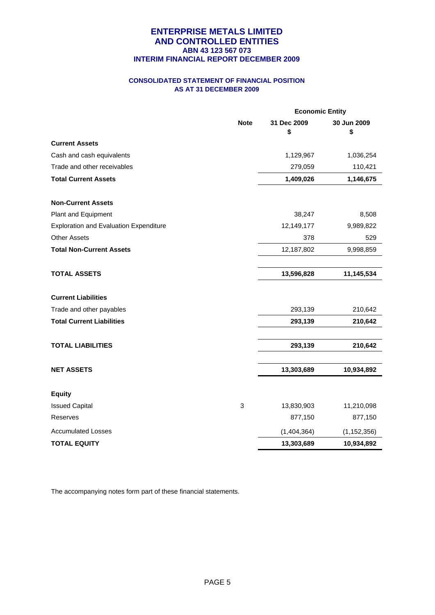## **CONSOLIDATED STATEMENT OF FINANCIAL POSITION AS AT 31 DECEMBER 2009**

|                                               | <b>Economic Entity</b> |                   |                   |
|-----------------------------------------------|------------------------|-------------------|-------------------|
|                                               | <b>Note</b>            | 31 Dec 2009<br>\$ | 30 Jun 2009<br>\$ |
| <b>Current Assets</b>                         |                        |                   |                   |
| Cash and cash equivalents                     |                        | 1,129,967         | 1,036,254         |
| Trade and other receivables                   |                        | 279,059           | 110,421           |
| <b>Total Current Assets</b>                   |                        | 1,409,026         | 1,146,675         |
| <b>Non-Current Assets</b>                     |                        |                   |                   |
| Plant and Equipment                           |                        | 38,247            | 8,508             |
| <b>Exploration and Evaluation Expenditure</b> |                        | 12,149,177        | 9,989,822         |
| <b>Other Assets</b>                           |                        | 378               | 529               |
| <b>Total Non-Current Assets</b>               |                        | 12,187,802        | 9,998,859         |
| <b>TOTAL ASSETS</b>                           |                        | 13,596,828        | 11,145,534        |
| <b>Current Liabilities</b>                    |                        |                   |                   |
| Trade and other payables                      |                        | 293,139           | 210,642           |
| <b>Total Current Liabilities</b>              |                        | 293,139           | 210,642           |
| <b>TOTAL LIABILITIES</b>                      |                        | 293,139           | 210,642           |
| <b>NET ASSETS</b>                             |                        | 13,303,689        | 10,934,892        |
| <b>Equity</b>                                 |                        |                   |                   |
| <b>Issued Capital</b>                         | 3                      | 13,830,903        | 11,210,098        |
| <b>Reserves</b>                               |                        | 877,150           | 877,150           |
| <b>Accumulated Losses</b>                     |                        | (1,404,364)       | (1, 152, 356)     |
| <b>TOTAL EQUITY</b>                           |                        | 13,303,689        | 10,934,892        |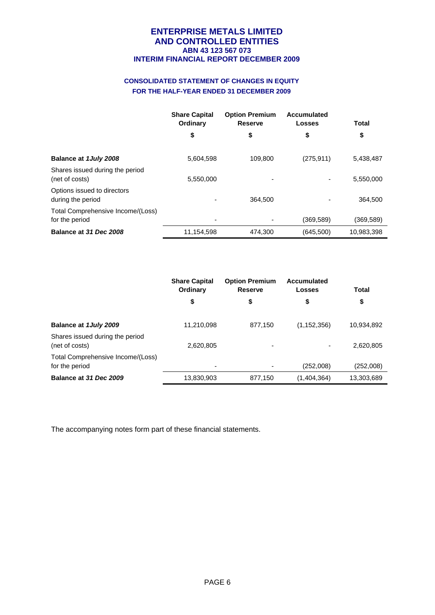# **CONSOLIDATED STATEMENT OF CHANGES IN EQUITY FOR THE HALF-YEAR ENDED 31 DECEMBER 2009**

|                                                     | <b>Share Capital</b><br>Ordinary | <b>Option Premium</b><br><b>Reserve</b> | Accumulated<br>Losses | <b>Total</b> |
|-----------------------------------------------------|----------------------------------|-----------------------------------------|-----------------------|--------------|
|                                                     | \$                               | \$                                      | \$                    | \$           |
| Balance at 1July 2008                               | 5,604,598                        | 109.800                                 | (275, 911)            | 5,438,487    |
| Shares issued during the period<br>(net of costs)   | 5,550,000                        | -                                       |                       | 5,550,000    |
| Options issued to directors<br>during the period    |                                  | 364,500                                 |                       | 364.500      |
| Total Comprehensive Income/(Loss)<br>for the period |                                  |                                         | (369, 589)            | (369,589)    |
| Balance at 31 Dec 2008                              | 11,154,598                       | 474,300                                 | (645, 500)            | 10,983,398   |

|                                                     | <b>Share Capital</b><br>Ordinary | <b>Option Premium</b><br><b>Reserve</b> | Accumulated<br><b>Losses</b> | Total      |
|-----------------------------------------------------|----------------------------------|-----------------------------------------|------------------------------|------------|
|                                                     | \$                               | \$                                      | \$                           | \$         |
| Balance at 1 July 2009                              | 11,210,098                       | 877,150                                 | (1, 152, 356)                | 10,934,892 |
| Shares issued during the period<br>(net of costs)   | 2,620,805                        |                                         |                              | 2,620,805  |
| Total Comprehensive Income/(Loss)<br>for the period | -                                |                                         | (252,008)                    | (252,008)  |
| Balance at 31 Dec 2009                              | 13,830,903                       | 877,150                                 | (1,404,364)                  | 13,303,689 |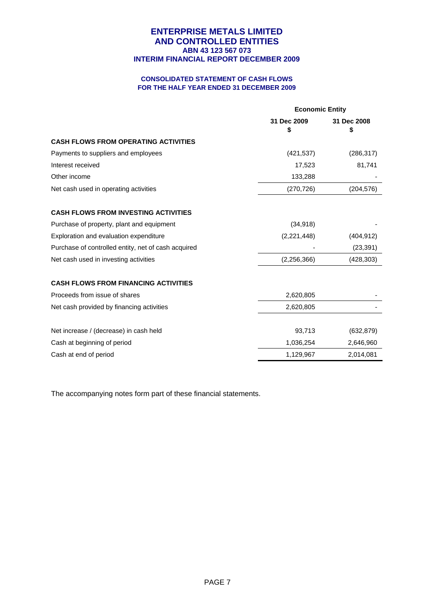## **CONSOLIDATED STATEMENT OF CASH FLOWS FOR THE HALF YEAR ENDED 31 DECEMBER 2009**

|                                                     |                   | <b>Economic Entity</b> |  |
|-----------------------------------------------------|-------------------|------------------------|--|
|                                                     | 31 Dec 2009<br>\$ | 31 Dec 2008<br>\$      |  |
| <b>CASH FLOWS FROM OPERATING ACTIVITIES</b>         |                   |                        |  |
| Payments to suppliers and employees                 | (421, 537)        | (286, 317)             |  |
| Interest received                                   | 17,523            | 81,741                 |  |
| Other income                                        | 133,288           |                        |  |
| Net cash used in operating activities               | (270, 726)        | (204, 576)             |  |
| <b>CASH FLOWS FROM INVESTING ACTIVITIES</b>         |                   |                        |  |
| Purchase of property, plant and equipment           | (34, 918)         |                        |  |
| Exploration and evaluation expenditure              | (2,221,448)       | (404, 912)             |  |
| Purchase of controlled entity, net of cash acquired |                   | (23, 391)              |  |
| Net cash used in investing activities               | (2, 256, 366)     | (428, 303)             |  |
| <b>CASH FLOWS FROM FINANCING ACTIVITIES</b>         |                   |                        |  |
| Proceeds from issue of shares                       | 2,620,805         |                        |  |
| Net cash provided by financing activities           | 2,620,805         |                        |  |
| Net increase / (decrease) in cash held              | 93,713            | (632, 879)             |  |
| Cash at beginning of period                         | 1,036,254         | 2,646,960              |  |
| Cash at end of period                               | 1,129,967         | 2,014,081              |  |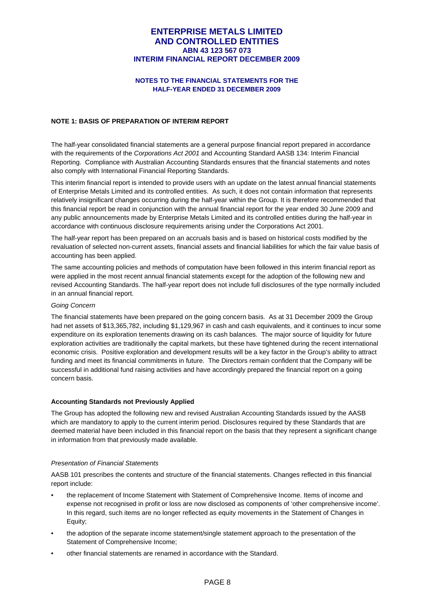#### **NOTES TO THE FINANCIAL STATEMENTS FOR THE HALF-YEAR ENDED 31 DECEMBER 2009**

#### **NOTE 1: BASIS OF PREPARATION OF INTERIM REPORT**

The half-year consolidated financial statements are a general purpose financial report prepared in accordance with the requirements of the *Corporations Act 2001* and Accounting Standard AASB 134: Interim Financial Reporting. Compliance with Australian Accounting Standards ensures that the financial statements and notes also comply with International Financial Reporting Standards.

This interim financial report is intended to provide users with an update on the latest annual financial statements of Enterprise Metals Limited and its controlled entities. As such, it does not contain information that represents relatively insignificant changes occurring during the half-year within the Group. It is therefore recommended that this financial report be read in conjunction with the annual financial report for the year ended 30 June 2009 and any public announcements made by Enterprise Metals Limited and its controlled entities during the half-year in accordance with continuous disclosure requirements arising under the Corporations Act 2001.

The half-year report has been prepared on an accruals basis and is based on historical costs modified by the revaluation of selected non-current assets, financial assets and financial liabilities for which the fair value basis of accounting has been applied.

The same accounting policies and methods of computation have been followed in this interim financial report as were applied in the most recent annual financial statements except for the adoption of the following new and revised Accounting Standards. The half-year report does not include full disclosures of the type normally included in an annual financial report.

#### *Going Concern*

The financial statements have been prepared on the going concern basis. As at 31 December 2009 the Group had net assets of \$13,365,782, including \$1,129,967 in cash and cash equivalents, and it continues to incur some expenditure on its exploration tenements drawing on its cash balances. The major source of liquidity for future exploration activities are traditionally the capital markets, but these have tightened during the recent international economic crisis. Positive exploration and development results will be a key factor in the Group's ability to attract funding and meet its financial commitments in future. The Directors remain confident that the Company will be successful in additional fund raising activities and have accordingly prepared the financial report on a going concern basis.

#### **Accounting Standards not Previously Applied**

The Group has adopted the following new and revised Australian Accounting Standards issued by the AASB which are mandatory to apply to the current interim period. Disclosures required by these Standards that are deemed material have been included in this financial report on the basis that they represent a significant change in information from that previously made available.

#### *Presentation of Financial Statements*

AASB 101 prescribes the contents and structure of the financial statements. Changes reflected in this financial report include:

- the replacement of Income Statement with Statement of Comprehensive Income. Items of income and expense not recognised in profit or loss are now disclosed as components of 'other comprehensive income'. In this regard, such items are no longer reflected as equity movements in the Statement of Changes in Equity;
- the adoption of the separate income statement/single statement approach to the presentation of the Statement of Comprehensive Income;
- other financial statements are renamed in accordance with the Standard.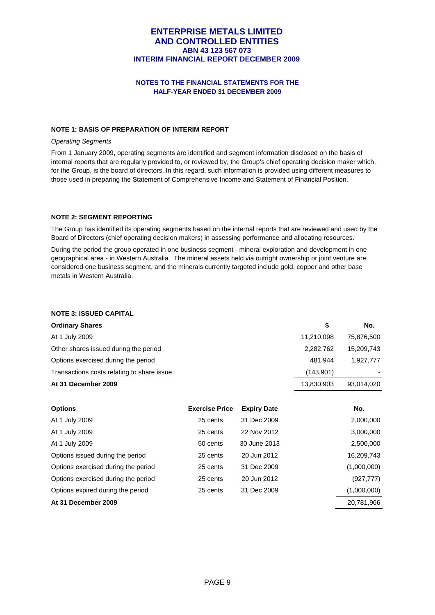## **NOTES TO THE FINANCIAL STATEMENTS FOR THE HALF-YEAR ENDED 31 DECEMBER 2009**

#### **NOTE 1: BASIS OF PREPARATION OF INTERIM REPORT**

#### *Operating Segments*

From 1 January 2009, operating segments are identified and segment information disclosed on the basis of internal reports that are regularly provided to, or reviewed by, the Group's chief operating decision maker which, for the Group, is the board of directors. In this regard, such information is provided using different measures to those used in preparing the Statement of Comprehensive Income and Statement of Financial Position.

#### **NOTE 2: SEGMENT REPORTING**

The Group has identified its operating segments based on the internal reports that are reviewed and used by the Board of Directors (chief operating decision makers) in assessing performance and allocating resources.

During the period the group operated in one business segment - mineral exploration and development in one geographical area - in Western Australia. The mineral assets held via outright ownership or joint venture are considered one business segment, and the minerals currently targeted include gold, copper and other base metals in Western Australia.

## **NOTE 3: ISSUED CAPITAL**

| <b>Ordinary Shares</b>                     | S          | No.        |
|--------------------------------------------|------------|------------|
| At 1 July 2009                             | 11,210,098 | 75,876,500 |
| Other shares issued during the period      | 2,282,762  | 15,209,743 |
| Options exercised during the period        | 481.944    | 1.927.777  |
| Transactions costs relating to share issue | (143,901)  | ٠          |
| At 31 December 2009                        | 13,830,903 | 93,014,020 |

| <b>Options</b>                      | <b>Exercise Price</b> | <b>Expiry Date</b> | No.         |
|-------------------------------------|-----------------------|--------------------|-------------|
| At 1 July 2009                      | 25 cents              | 31 Dec 2009        | 2,000,000   |
| At 1 July 2009                      | 25 cents              | 22 Nov 2012        | 3,000,000   |
| At 1 July 2009                      | 50 cents              | 30 June 2013       | 2,500,000   |
| Options issued during the period    | 25 cents              | 20 Jun 2012        | 16,209,743  |
| Options exercised during the period | 25 cents              | 31 Dec 2009        | (1,000,000) |
| Options exercised during the period | 25 cents              | 20 Jun 2012        | (927,777)   |
| Options expired during the period   | 25 cents              | 31 Dec 2009        | (1,000,000) |
| At 31 December 2009                 |                       |                    | 20,781,966  |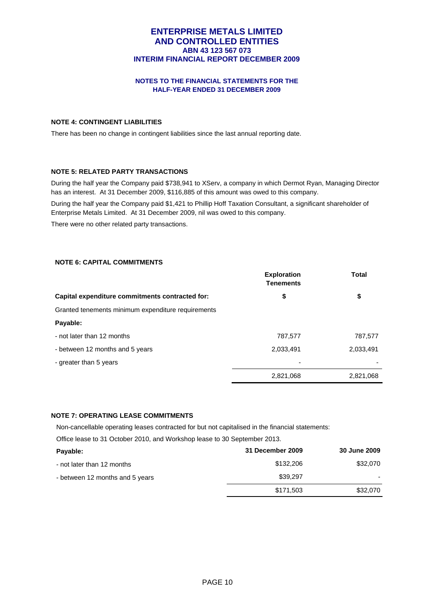## **NOTES TO THE FINANCIAL STATEMENTS FOR THE HALF-YEAR ENDED 31 DECEMBER 2009**

#### **NOTE 4: CONTINGENT LIABILITIES**

There has been no change in contingent liabilities since the last annual reporting date.

## **NOTE 5: RELATED PARTY TRANSACTIONS**

During the half year the Company paid \$738,941 to XServ, a company in which Dermot Ryan, Managing Director has an interest. At 31 December 2009, \$116,885 of this amount was owed to this company.

During the half year the Company paid \$1,421 to Phillip Hoff Taxation Consultant, a significant shareholder of Enterprise Metals Limited. At 31 December 2009, nil was owed to this company.

There were no other related party transactions.

#### **NOTE 6: CAPITAL COMMITMENTS**

|                                                    | <b>Exploration</b><br><b>Tenements</b> | <b>Total</b> |
|----------------------------------------------------|----------------------------------------|--------------|
| Capital expenditure commitments contracted for:    | \$                                     | \$           |
| Granted tenements minimum expenditure requirements |                                        |              |
| Payable:                                           |                                        |              |
| - not later than 12 months                         | 787,577                                | 787,577      |
| - between 12 months and 5 years                    | 2,033,491                              | 2,033,491    |
| - greater than 5 years                             |                                        |              |
|                                                    | 2,821,068                              | 2,821,068    |

## **NOTE 7: OPERATING LEASE COMMITMENTS**

Non-cancellable operating leases contracted for but not capitalised in the financial statements:

Office lease to 31 October 2010, and Workshop lease to 30 September 2013.

| Payable:                        | 31 December 2009 | <b>30 June 2009</b> |
|---------------------------------|------------------|---------------------|
| - not later than 12 months      | \$132,206        | \$32,070            |
| - between 12 months and 5 years | \$39,297         |                     |
|                                 | \$171.503        | \$32,070            |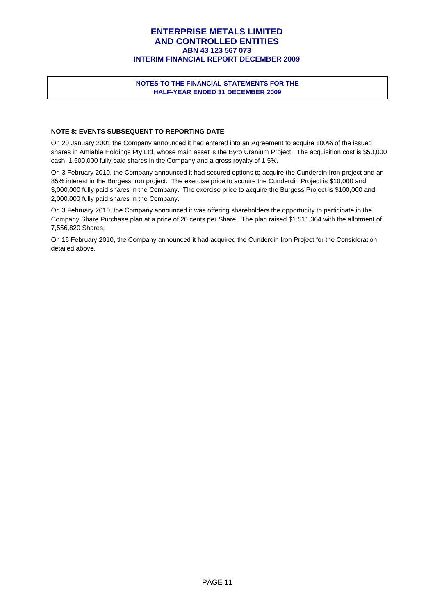## **NOTES TO THE FINANCIAL STATEMENTS FOR THE HALF-YEAR ENDED 31 DECEMBER 2009**

## **NOTE 8: EVENTS SUBSEQUENT TO REPORTING DATE**

On 20 January 2001 the Company announced it had entered into an Agreement to acquire 100% of the issued shares in Amiable Holdings Pty Ltd, whose main asset is the Byro Uranium Project. The acquisition cost is \$50,000 cash, 1,500,000 fully paid shares in the Company and a gross royalty of 1.5%.

On 3 February 2010, the Company announced it had secured options to acquire the Cunderdin Iron project and an 85% interest in the Burgess iron project. The exercise price to acquire the Cunderdin Project is \$10,000 and 3,000,000 fully paid shares in the Company. The exercise price to acquire the Burgess Project is \$100,000 and 2,000,000 fully paid shares in the Company.

On 3 February 2010, the Company announced it was offering shareholders the opportunity to participate in the Company Share Purchase plan at a price of 20 cents per Share. The plan raised \$1,511,364 with the allotment of 7,556,820 Shares.

On 16 February 2010, the Company announced it had acquired the Cunderdin Iron Project for the Consideration detailed above.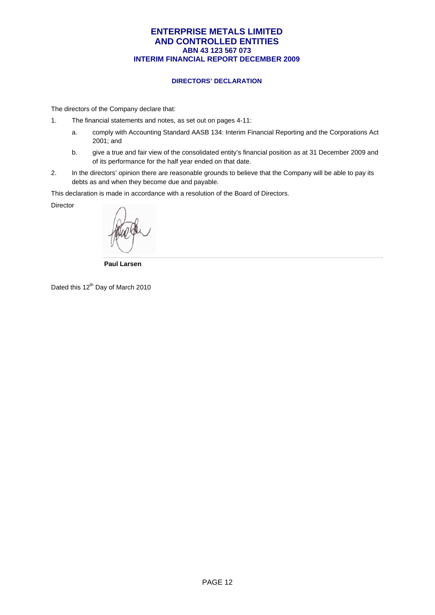## **DIRECTORS' DECLARATION**

The directors of the Company declare that:

- 1. The financial statements and notes, as set out on pages 4-11:
	- a. comply with Accounting Standard AASB 134: Interim Financial Reporting and the Corporations Act 2001; and
	- b. give a true and fair view of the consolidated entity's financial position as at 31 December 2009 and of its performance for the half year ended on that date.
- 2. In the directors' opinion there are reasonable grounds to believe that the Company will be able to pay its debts as and when they become due and payable.

This declaration is made in accordance with a resolution of the Board of Directors.

Director

 **Paul Larsen** 

Dated this 12<sup>th</sup> Day of March 2010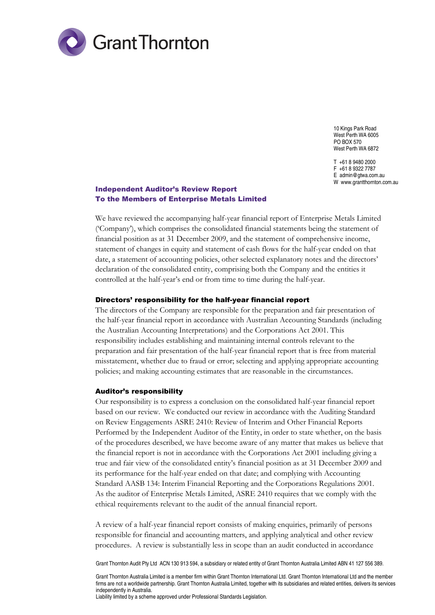

10 Kings Park Road West Perth WA 6005 PO BOX 570 West Perth WA 6872

T +61 8 9480 2000 F +61 8 9322 7787 E admin@gtwa.com.au W www.grantthornton.com.au

# Independent Auditor's Review Report To the Members of Enterprise Metals Limited

We have reviewed the accompanying half-year financial report of Enterprise Metals Limited ('Company'), which comprises the consolidated financial statements being the statement of financial position as at 31 December 2009, and the statement of comprehensive income, statement of changes in equity and statement of cash flows for the half-year ended on that date, a statement of accounting policies, other selected explanatory notes and the directors' declaration of the consolidated entity, comprising both the Company and the entities it controlled at the half-year's end or from time to time during the half-year.

#### Directors' responsibility for the half-year financial report

The directors of the Company are responsible for the preparation and fair presentation of the half-year financial report in accordance with Australian Accounting Standards (including the Australian Accounting Interpretations) and the Corporations Act 2001. This responsibility includes establishing and maintaining internal controls relevant to the preparation and fair presentation of the half-year financial report that is free from material misstatement, whether due to fraud or error; selecting and applying appropriate accounting policies; and making accounting estimates that are reasonable in the circumstances.

#### Auditor's responsibility

Our responsibility is to express a conclusion on the consolidated half-year financial report based on our review. We conducted our review in accordance with the Auditing Standard on Review Engagements ASRE 2410: Review of Interim and Other Financial Reports Performed by the Independent Auditor of the Entity, in order to state whether, on the basis of the procedures described, we have become aware of any matter that makes us believe that the financial report is not in accordance with the Corporations Act 2001 including giving a true and fair view of the consolidated entity's financial position as at 31 December 2009 and its performance for the half-year ended on that date; and complying with Accounting Standard AASB 134: Interim Financial Reporting and the Corporations Regulations 2001. As the auditor of Enterprise Metals Limited, ASRE 2410 requires that we comply with the ethical requirements relevant to the audit of the annual financial report.

A review of a half-year financial report consists of making enquiries, primarily of persons responsible for financial and accounting matters, and applying analytical and other review procedures. A review is substantially less in scope than an audit conducted in accordance

Grant Thornton Audit Pty Ltd ACN 130 913 594, a subsidiary or related entity of Grant Thornton Australia Limited ABN 41 127 556 389.

Grant Thornton Australia Limited is a member firm within Grant Thornton International Ltd. Grant Thornton International Ltd and the member firms are not a worldwide partnership. Grant Thornton Australia Limited, together with its subsidiaries and related entities, delivers its services independently in Australia. Liability limited by a scheme approved under Professional Standards Legislation.